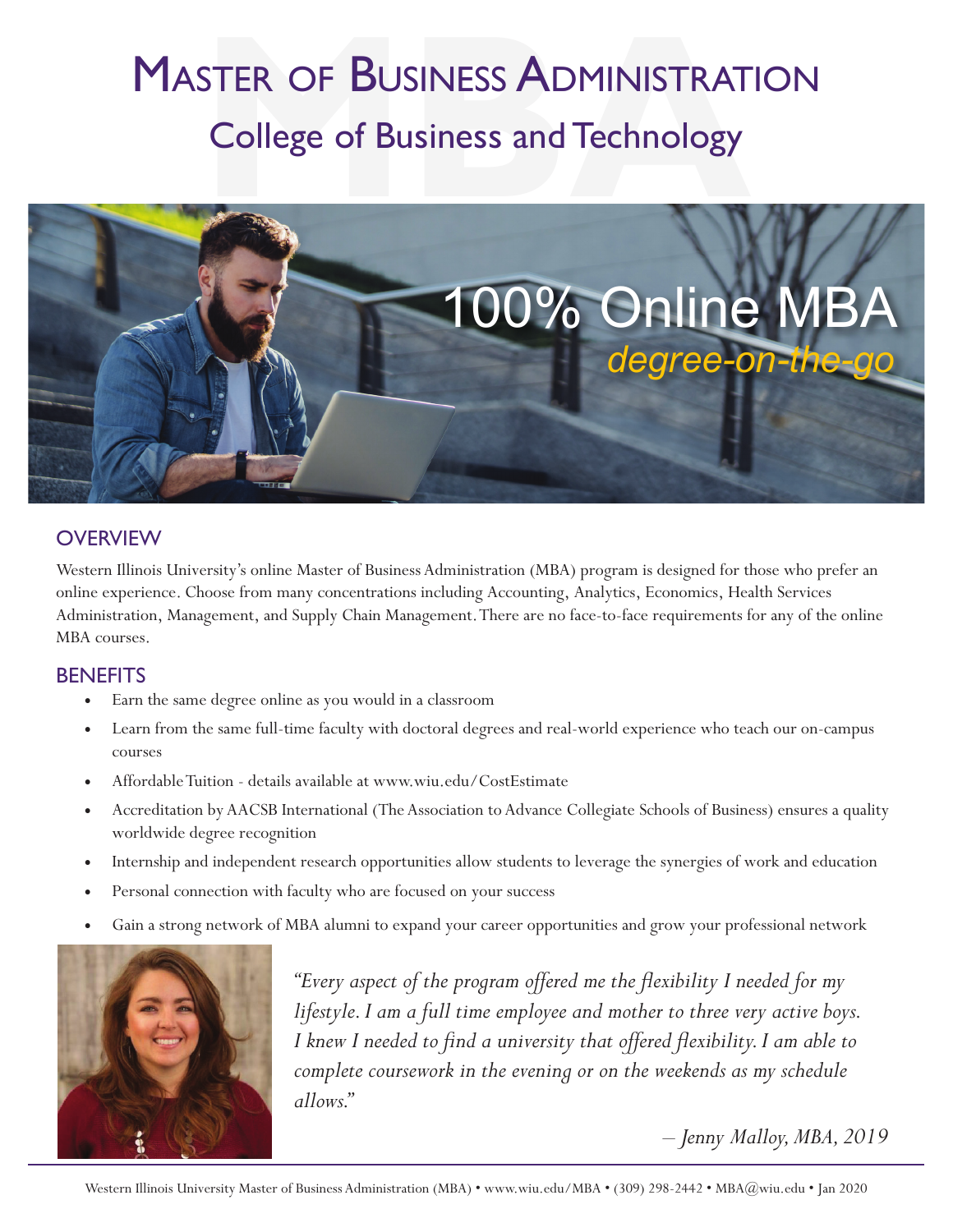# **MASTER OF BUSINESS ADMINISTRATION** College of Business and Technology



#### **OVERVIEW**

Western Illinois University's online Master of Business Administration (MBA) program is designed for those who prefer an online experience. Choose from many concentrations including Accounting, Analytics, Economics, Health Services Administration, Management, and Supply Chain Management. There are no face-to-face requirements for any of the online MBA courses.

#### **BENEFITS**

- Earn the same degree online as you would in a classroom
- Learn from the same full-time faculty with doctoral degrees and real-world experience who teach our on-campus courses
- Affordable Tuition details available at www.wiu.edu/CostEstimate
- Accreditation by AACSB International (The Association to Advance Collegiate Schools of Business) ensures a quality worldwide degree recognition
- Internship and independent research opportunities allow students to leverage the synergies of work and education
- Personal connection with faculty who are focused on your success
- Gain a strong network of MBA alumni to expand your career opportunities and grow your professional network



*"Every aspect of the program offered me the flexibility I needed for my lifestyle. I am a full time employee and mother to three very active boys. I knew I needed to find a university that offered flexibility. I am able to complete coursework in the evening or on the weekends as my schedule allows."*

*– Jenny Malloy, MBA, 2019*